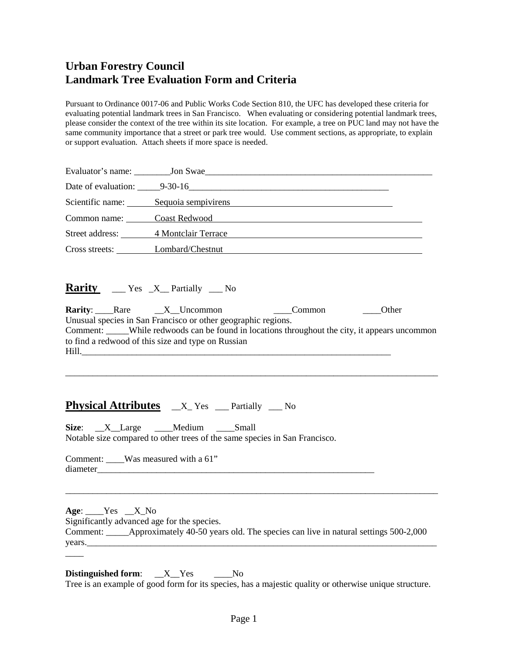Pursuant to Ordinance 0017-06 and Public Works Code Section 810, the UFC has developed these criteria for evaluating potential landmark trees in San Francisco. When evaluating or considering potential landmark trees, please consider the context of the tree within its site location. For example, a tree on PUC land may not have the same community importance that a street or park tree would. Use comment sections, as appropriate, to explain or support evaluation. Attach sheets if more space is needed.

|                                      | Date of evaluation: 9-30-16 |
|--------------------------------------|-----------------------------|
| Scientific name: Sequoia sempivirens |                             |
| Common name: Coast Redwood           |                             |
| Street address: 4 Montclair Terrace  |                             |
| Cross streets: Lombard/Chestnut      |                             |

**Rarity** \_\_\_ Yes \_X\_\_ Partially \_\_\_ No

|       | <b>Rarity:</b> Rare X Uncommon |                                                    | Common                                                        | <b>Other</b>                                                                               |
|-------|--------------------------------|----------------------------------------------------|---------------------------------------------------------------|--------------------------------------------------------------------------------------------|
|       |                                |                                                    | Unusual species in San Francisco or other geographic regions. |                                                                                            |
|       |                                |                                                    |                                                               | Comment: While redwoods can be found in locations throughout the city, it appears uncommon |
|       |                                | to find a redwood of this size and type on Russian |                                                               |                                                                                            |
| Hill. |                                |                                                    |                                                               |                                                                                            |

\_\_\_\_\_\_\_\_\_\_\_\_\_\_\_\_\_\_\_\_\_\_\_\_\_\_\_\_\_\_\_\_\_\_\_\_\_\_\_\_\_\_\_\_\_\_\_\_\_\_\_\_\_\_\_\_\_\_\_\_\_\_\_\_\_\_\_\_\_\_\_\_\_\_\_\_\_\_\_\_\_\_

# **Physical Attributes**  $X$ <sup>L</sup> Yes <u>exercisely</u> Mo

**Size**:  $X$  Large Medium Small Notable size compared to other trees of the same species in San Francisco.

Comment: \_\_\_\_Was measured with a 61" diameter

 $\overline{\phantom{a}}$ 

**Age**: \_\_\_\_Yes \_\_X\_No Significantly advanced age for the species. Comment: \_\_\_\_\_Approximately 40-50 years old. The species can live in natural settings 500-2,000 years.\_\_\_\_\_\_\_\_\_\_\_\_\_\_\_\_\_\_\_\_\_\_\_\_\_\_\_\_\_\_\_\_\_\_\_\_\_\_\_\_\_\_\_\_\_\_\_\_\_\_\_\_\_\_\_\_\_\_\_\_\_\_\_\_\_\_\_\_\_\_\_\_\_\_\_\_\_

\_\_\_\_\_\_\_\_\_\_\_\_\_\_\_\_\_\_\_\_\_\_\_\_\_\_\_\_\_\_\_\_\_\_\_\_\_\_\_\_\_\_\_\_\_\_\_\_\_\_\_\_\_\_\_\_\_\_\_\_\_\_\_\_\_\_\_\_\_\_\_\_\_\_\_\_\_\_\_\_\_\_

**Distinguished form:**  $X$  Yes  $N_0$ Tree is an example of good form for its species, has a majestic quality or otherwise unique structure.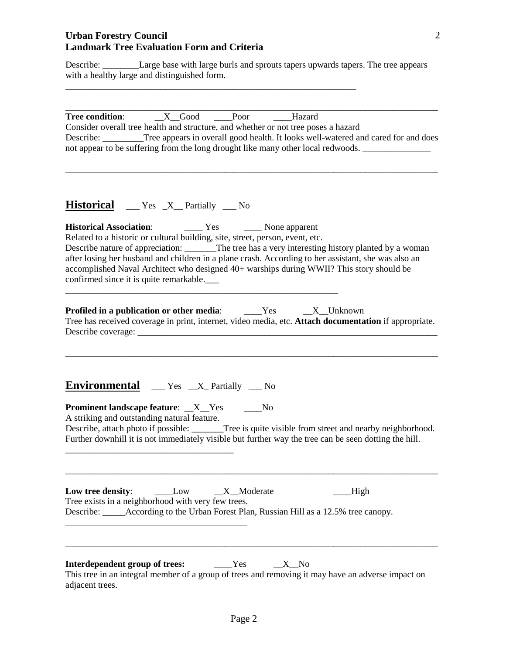Describe: *\_\_\_\_\_\_\_\_\_*Large base with large burls and sprouts tapers upwards tapers. The tree appears with a healthy large and distinguished form.

\_\_\_\_\_\_\_\_\_\_\_\_\_\_\_\_\_\_\_\_\_\_\_\_\_\_\_\_\_\_\_\_\_\_\_\_\_\_\_\_\_\_\_\_\_\_\_\_\_\_\_\_\_\_\_\_\_\_\_\_\_\_\_\_

| Consider overall tree health and structure, and whether or not tree poses a hazard<br>Describe: <u>Tree</u> appears in overall good health. It looks well-watered and cared for and does<br>not appear to be suffering from the long drought like many other local redwoods.                                                                                                                                                       |
|------------------------------------------------------------------------------------------------------------------------------------------------------------------------------------------------------------------------------------------------------------------------------------------------------------------------------------------------------------------------------------------------------------------------------------|
| <b>Historical</b> __ Yes _X_ Partially __ No                                                                                                                                                                                                                                                                                                                                                                                       |
| Related to a historic or cultural building, site, street, person, event, etc.<br>Describe nature of appreciation: ________The tree has a very interesting history planted by a woman<br>after losing her husband and children in a plane crash. According to her assistant, she was also an<br>accomplished Naval Architect who designed 40+ warships during WWII? This story should be<br>confirmed since it is quite remarkable. |
| <b>Profiled in a publication or other media:</b> ______Yes _____X__Unknown<br>Tree has received coverage in print, internet, video media, etc. Attach documentation if appropriate.                                                                                                                                                                                                                                                |
| Environmental __ Yes _X_Partially __ No                                                                                                                                                                                                                                                                                                                                                                                            |
| <b>Prominent landscape feature:</b> _X_Yes ____No<br>A striking and outstanding natural feature.<br>Describe, attach photo if possible: ______Tree is quite visible from street and nearby neighborhood.<br>Further downhill it is not immediately visible but further way the tree can be seen dotting the hill.                                                                                                                  |
| Low tree density:<br>$X$ Moderate<br>High<br>Low<br>Tree exists in a neighborhood with very few trees.<br>Describe: ______According to the Urban Forest Plan, Russian Hill as a 12.5% tree canopy.                                                                                                                                                                                                                                 |
| Interdependent group of trees:<br>Yes<br><u>_X __</u> No<br>This tree in an integral member of a group of trees and removing it may have an adverse impact on<br>adjacent trees.                                                                                                                                                                                                                                                   |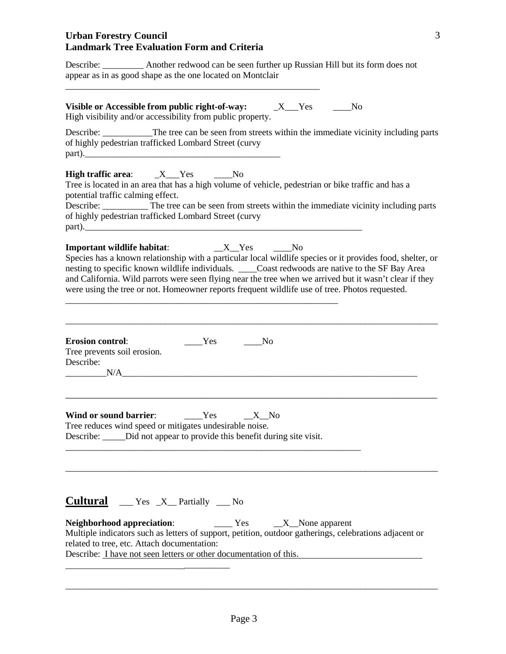Describe: \_\_\_\_\_\_\_\_\_ Another redwood can be seen further up Russian Hill but its form does not appear as in as good shape as the one located on Montclair \_\_\_\_\_\_\_\_\_\_\_\_\_\_\_\_\_\_\_\_\_\_\_\_\_\_\_\_\_\_\_\_\_\_\_\_\_\_\_\_\_\_\_\_\_\_\_\_\_\_\_\_\_\_\_\_

**Visible or Accessible from public right-of-way:**  $X$  Yes No High visibility and/or accessibility from public property.

Describe: The tree can be seen from streets within the immediate vicinity including parts of highly pedestrian trafficked Lombard Street (curvy  $part$ ).

**High traffic area:**  $X$  Yes  $N_0$ 

Tree is located in an area that has a high volume of vehicle, pedestrian or bike traffic and has a potential traffic calming effect.

Describe: The tree can be seen from streets within the immediate vicinity including parts of highly pedestrian trafficked Lombard Street (curvy  $part$ ).

**Important wildlife habitat**: \_\_X\_\_Yes \_\_\_\_No

\_\_\_\_\_\_\_\_\_\_\_\_\_\_\_\_\_\_\_\_\_\_\_\_\_\_\_\_\_\_\_\_\_\_\_\_\_\_\_\_\_\_\_\_\_\_\_\_\_\_\_\_\_\_\_\_\_\_\_\_

Species has a known relationship with a particular local wildlife species or it provides food, shelter, or nesting to specific known wildlife individuals. \_\_\_\_Coast redwoods are native to the SF Bay Area and California. Wild parrots were seen flying near the tree when we arrived but it wasn't clear if they were using the tree or not. Homeowner reports frequent wildlife use of tree. Photos requested.

| <b>Erosion control:</b>     | <b>Yes</b> | Nο |
|-----------------------------|------------|----|
| Tree prevents soil erosion. |            |    |
| Describe:                   |            |    |
| N/A                         |            |    |

\_\_\_\_\_\_\_\_\_\_\_\_\_\_\_\_\_\_\_\_\_\_\_\_\_\_\_\_\_\_\_\_\_\_\_\_\_\_\_\_\_\_\_\_\_\_\_\_\_\_\_\_\_\_\_\_\_\_\_\_\_\_\_\_\_\_\_\_\_\_\_\_\_\_\_

\_\_\_\_\_\_\_\_\_\_\_\_\_\_\_\_\_\_\_\_\_\_\_\_\_\_\_\_\_\_\_\_\_\_\_\_\_\_\_\_\_\_\_\_\_\_\_\_\_\_\_\_\_\_\_\_\_\_\_\_\_\_\_\_\_\_\_\_\_\_\_\_\_\_\_\_\_\_\_\_\_\_

| Wind or sound barrier:                                                     | Yes: | $X$ No |  |
|----------------------------------------------------------------------------|------|--------|--|
| Tree reduces wind speed or mitigates undesirable noise.                    |      |        |  |
| Describe: ______ Did not appear to provide this benefit during site visit. |      |        |  |
|                                                                            |      |        |  |

# **Cultural** \_\_\_ Yes \_X\_\_ Partially \_\_\_ No

\_\_\_\_\_\_\_\_\_\_

**Neighborhood appreciation:** Yes X None apparent Multiple indicators such as letters of support, petition, outdoor gatherings, celebrations adjacent or related to tree, etc. Attach documentation: Describe: I have not seen letters or other documentation of this.

\_\_\_\_\_\_\_\_\_\_\_\_\_\_\_\_\_\_\_\_\_\_\_\_\_\_\_\_\_\_\_\_\_\_\_\_\_\_\_\_\_\_\_\_\_\_\_\_\_\_\_\_\_\_\_\_\_\_\_\_\_\_\_\_\_\_\_\_\_\_\_\_\_\_\_\_\_\_\_\_\_\_